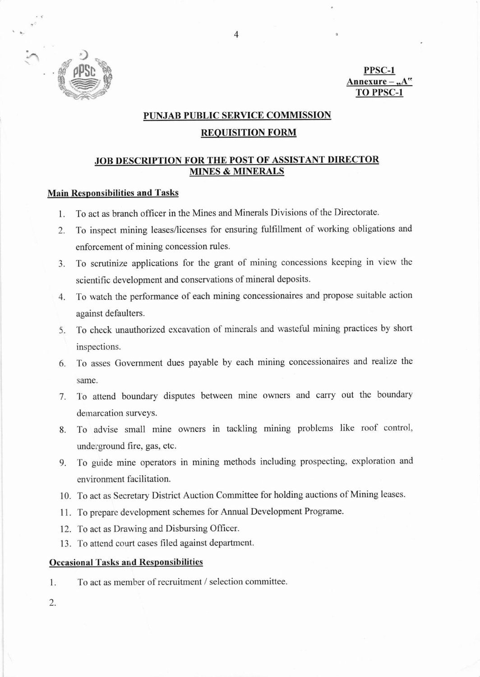

PPSC-1 Annexure-**TO PPSC-1** 

## PUNJAB PUBLIC SERVICE COMMISSION

## **REQUISITION FORM**

# **JOB DESCRIPTION FOR THE POST OF ASSISTANT DIRECTOR MINES & MINERALS**

# **Main Responsibilities and Tasks**

- To act as branch officer in the Mines and Minerals Divisions of the Directorate.  $1.$
- To inspect mining leases/licenses for ensuring fulfillment of working obligations and 2. enforcement of mining concession rules.
- To scrutinize applications for the grant of mining concessions keeping in view the  $3.$ scientific development and conservations of mineral deposits.
- 4. To watch the performance of each mining concessionaires and propose suitable action against defaulters.
- 5. To check unauthorized excavation of minerals and wasteful mining practices by short inspections.
- 6. To asses Government dues payable by each mining concessionaires and realize the same.
- 7. To attend boundary disputes between mine owners and carry out the boundary demarcation surveys.
- To advise small mine owners in tackling mining problems like roof control, 8. underground fire, gas, etc.
- To guide mine operators in mining methods including prospecting, exploration and 9. environment facilitation.
- 10. To act as Secretary District Auction Committee for holding auctions of Mining leases.
- 11. To prepare development schemes for Annual Development Programe.
- 12. To act as Drawing and Disbursing Officer.
- 13. To attend court cases filed against department.

#### **Occasional Tasks and Responsibilities**

To act as member of recruitment / selection committee. 1.

 $2.$